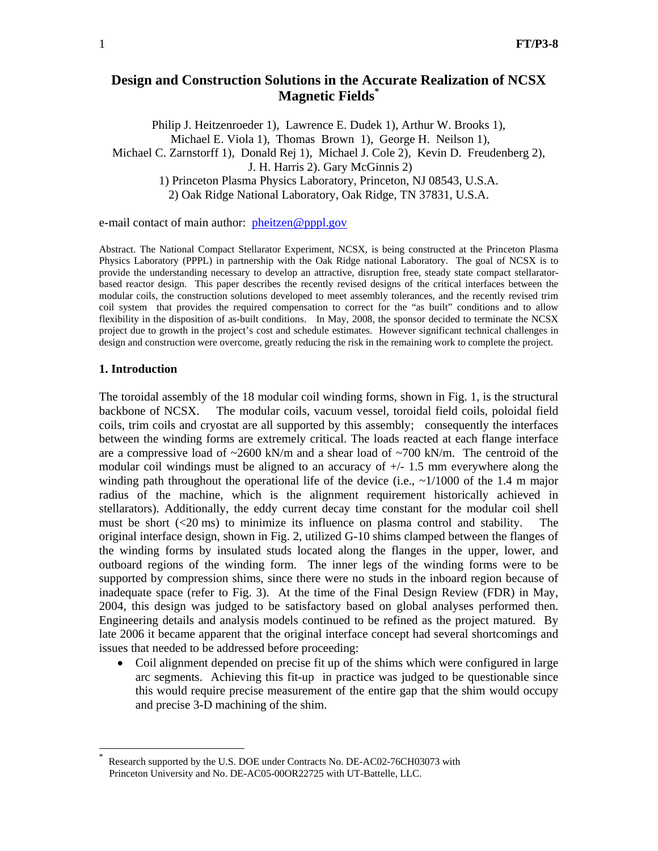# **Design and Construction Solutions in the Accurate Realization of NCSX Magnetic Fields\***

Philip J. Heitzenroeder 1), Lawrence E. Dudek 1), Arthur W. Brooks 1), Michael E. Viola 1), Thomas Brown 1), George H. Neilson 1), Michael C. Zarnstorff 1), Donald Rej 1), Michael J. Cole 2), Kevin D. Freudenberg 2), J. H. Harris 2). Gary McGinnis 2) 1) Princeton Plasma Physics Laboratory, Princeton, NJ 08543, U.S.A. 2) Oak Ridge National Laboratory, Oak Ridge, TN 37831, U.S.A.

e-mail contact of main author: pheitzen@pppl.gov

Abstract. The National Compact Stellarator Experiment, NCSX, is being constructed at the Princeton Plasma Physics Laboratory (PPPL) in partnership with the Oak Ridge national Laboratory. The goal of NCSX is to provide the understanding necessary to develop an attractive, disruption free, steady state compact stellaratorbased reactor design. This paper describes the recently revised designs of the critical interfaces between the modular coils, the construction solutions developed to meet assembly tolerances, and the recently revised trim coil system that provides the required compensation to correct for the "as built" conditions and to allow flexibility in the disposition of as-built conditions. In May, 2008, the sponsor decided to terminate the NCSX project due to growth in the project's cost and schedule estimates. However significant technical challenges in design and construction were overcome, greatly reducing the risk in the remaining work to complete the project.

## **1. Introduction**

-

The toroidal assembly of the 18 modular coil winding forms, shown in Fig. 1, is the structural backbone of NCSX. The modular coils, vacuum vessel, toroidal field coils, poloidal field coils, trim coils and cryostat are all supported by this assembly; consequently the interfaces between the winding forms are extremely critical. The loads reacted at each flange interface are a compressive load of  $\sim$ 2600 kN/m and a shear load of  $\sim$ 700 kN/m. The centroid of the modular coil windings must be aligned to an accuracy of +/- 1.5 mm everywhere along the winding path throughout the operational life of the device (i.e.,  $\sim 1/1000$  of the 1.4 m major radius of the machine, which is the alignment requirement historically achieved in stellarators). Additionally, the eddy current decay time constant for the modular coil shell must be short (<20 ms) to minimize its influence on plasma control and stability. The original interface design, shown in Fig. 2, utilized G-10 shims clamped between the flanges of the winding forms by insulated studs located along the flanges in the upper, lower, and outboard regions of the winding form. The inner legs of the winding forms were to be supported by compression shims, since there were no studs in the inboard region because of inadequate space (refer to Fig. 3). At the time of the Final Design Review (FDR) in May, 2004, this design was judged to be satisfactory based on global analyses performed then. Engineering details and analysis models continued to be refined as the project matured. By late 2006 it became apparent that the original interface concept had several shortcomings and issues that needed to be addressed before proceeding:

• Coil alignment depended on precise fit up of the shims which were configured in large arc segments. Achieving this fit-up in practice was judged to be questionable since this would require precise measurement of the entire gap that the shim would occupy and precise 3-D machining of the shim.

Research supported by the U.S. DOE under Contracts No. DE-AC02-76CH03073 with Princeton University and No. DE-AC05-00OR22725 with UT-Battelle, LLC.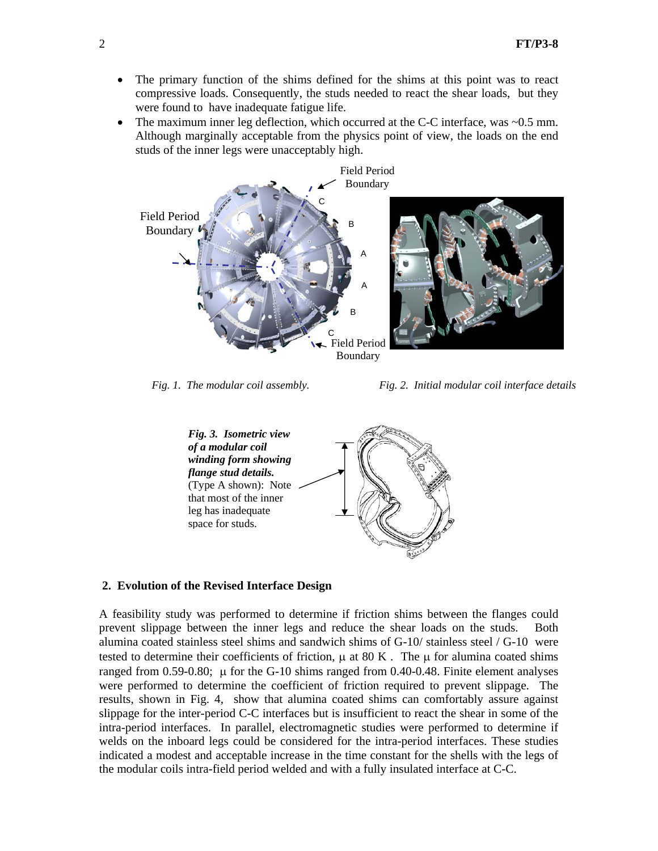- The primary function of the shims defined for the shims at this point was to react compressive loads. Consequently, the studs needed to react the shear loads, but they were found to have inadequate fatigue life.
- The maximum inner leg deflection, which occurred at the C-C interface, was ~0.5 mm. Although marginally acceptable from the physics point of view, the loads on the end studs of the inner legs were unacceptably high.



*Fig. 1. The modular coil assembly. Fig. 2. Initial modular coil interface details* 



## **2. Evolution of the Revised Interface Design**

A feasibility study was performed to determine if friction shims between the flanges could prevent slippage between the inner legs and reduce the shear loads on the studs. Both alumina coated stainless steel shims and sandwich shims of G-10/ stainless steel / G-10 were tested to determine their coefficients of friction,  $\mu$  at 80 K. The  $\mu$  for alumina coated shims ranged from 0.59-0.80;  $\mu$  for the G-10 shims ranged from 0.40-0.48. Finite element analyses were performed to determine the coefficient of friction required to prevent slippage. The results, shown in Fig. 4, show that alumina coated shims can comfortably assure against slippage for the inter-period C-C interfaces but is insufficient to react the shear in some of the intra-period interfaces. In parallel, electromagnetic studies were performed to determine if welds on the inboard legs could be considered for the intra-period interfaces. These studies indicated a modest and acceptable increase in the time constant for the shells with the legs of the modular coils intra-field period welded and with a fully insulated interface at C-C.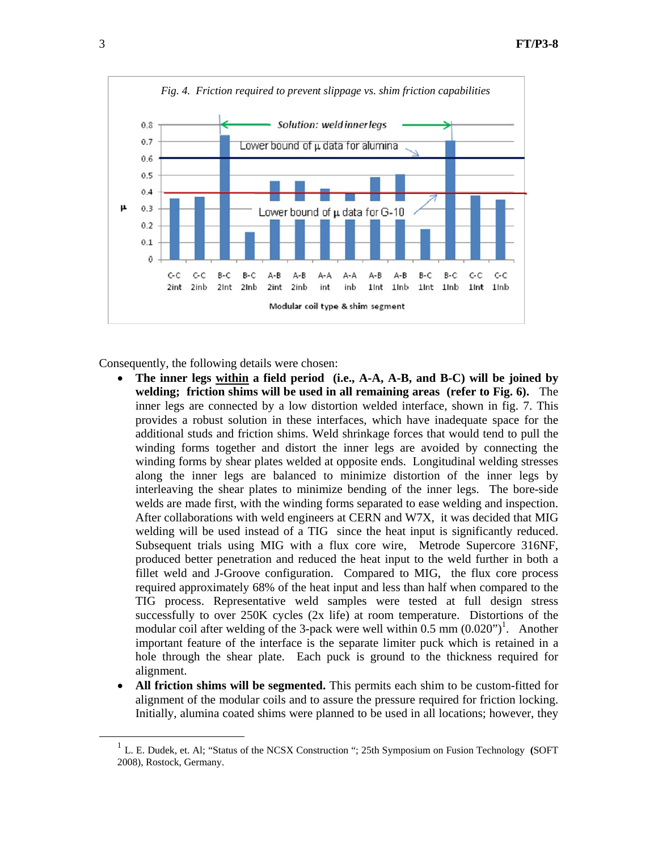

Consequently, the following details were chosen:

- **The inner legs within a field period (i.e., A-A, A-B, and B-C) will be joined by welding; friction shims will be used in all remaining areas (refer to Fig. 6).** The inner legs are connected by a low distortion welded interface, shown in fig. 7. This provides a robust solution in these interfaces, which have inadequate space for the additional studs and friction shims. Weld shrinkage forces that would tend to pull the winding forms together and distort the inner legs are avoided by connecting the winding forms by shear plates welded at opposite ends. Longitudinal welding stresses along the inner legs are balanced to minimize distortion of the inner legs by interleaving the shear plates to minimize bending of the inner legs. The bore-side welds are made first, with the winding forms separated to ease welding and inspection. After collaborations with weld engineers at CERN and W7X, it was decided that MIG welding will be used instead of a TIG since the heat input is significantly reduced. Subsequent trials using MIG with a flux core wire, Metrode Supercore 316NF, produced better penetration and reduced the heat input to the weld further in both a fillet weld and J-Groove configuration. Compared to MIG, the flux core process required approximately 68% of the heat input and less than half when compared to the TIG process. Representative weld samples were tested at full design stress successfully to over 250K cycles (2x life) at room temperature. Distortions of the modular coil after welding of the 3-pack were well within  $0.5 \text{ mm } (0.020")^1$ . Another important feature of the interface is the separate limiter puck which is retained in a hole through the shear plate. Each puck is ground to the thickness required for alignment.
- All friction shims will be segmented. This permits each shim to be custom-fitted for alignment of the modular coils and to assure the pressure required for friction locking. Initially, alumina coated shims were planned to be used in all locations; however, they

 <sup>1</sup> L. E. Dudek, et. Al; "Status of the NCSX Construction "; 25th Symposium on Fusion Technology **(**SOFT 2008), Rostock, Germany.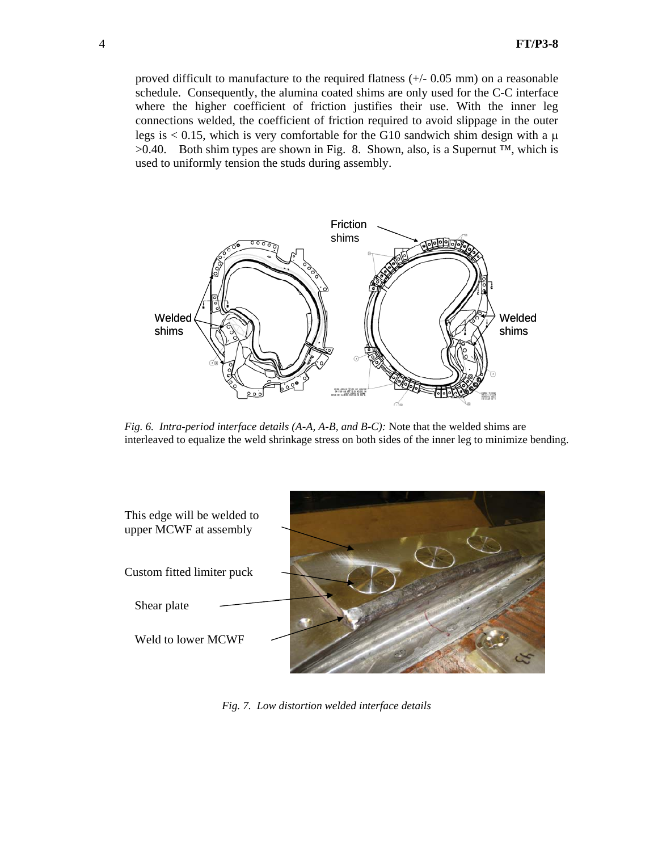proved difficult to manufacture to the required flatness (+/- 0.05 mm) on a reasonable schedule. Consequently, the alumina coated shims are only used for the C-C interface where the higher coefficient of friction justifies their use. With the inner leg connections welded, the coefficient of friction required to avoid slippage in the outer legs is  $\leq 0.15$ , which is very comfortable for the G10 sandwich shim design with a  $\mu$  $>0.40$ . Both shim types are shown in Fig. 8. Shown, also, is a Supernut <sup>™,</sup> which is used to uniformly tension the studs during assembly.



*Fig. 6. Intra-period interface details (A-A, A-B, and B-C):* Note that the welded shims are interleaved to equalize the weld shrinkage stress on both sides of the inner leg to minimize bending.



*Fig. 7. Low distortion welded interface details*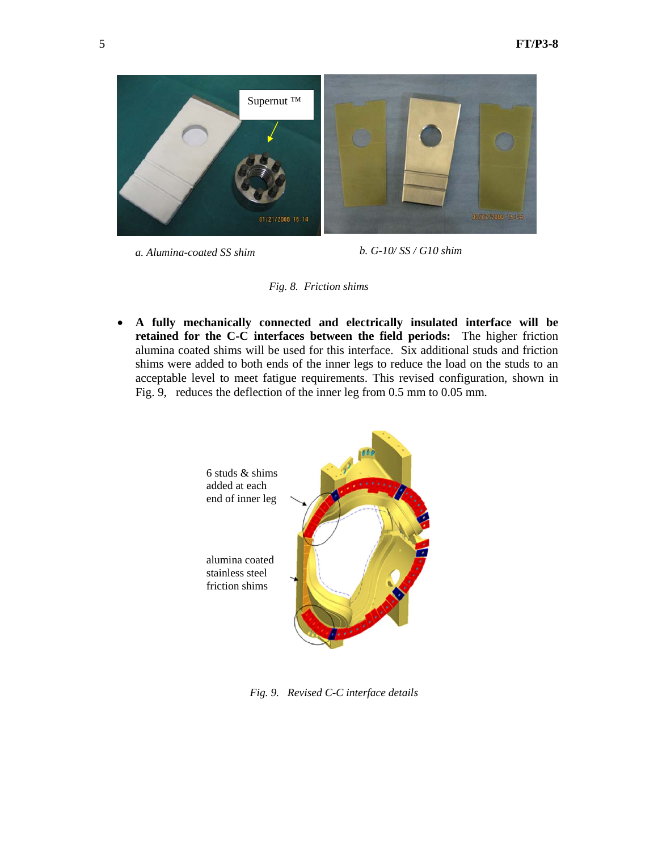

*a. Alumina-coated SS shim b. G-10/ SS / G10 shim*



• **A fully mechanically connected and electrically insulated interface will be retained for the C-C interfaces between the field periods:** The higher friction alumina coated shims will be used for this interface. Six additional studs and friction shims were added to both ends of the inner legs to reduce the load on the studs to an acceptable level to meet fatigue requirements. This revised configuration, shown in Fig. 9, reduces the deflection of the inner leg from 0.5 mm to 0.05 mm.



 *Fig. 9. Revised C-C interface details*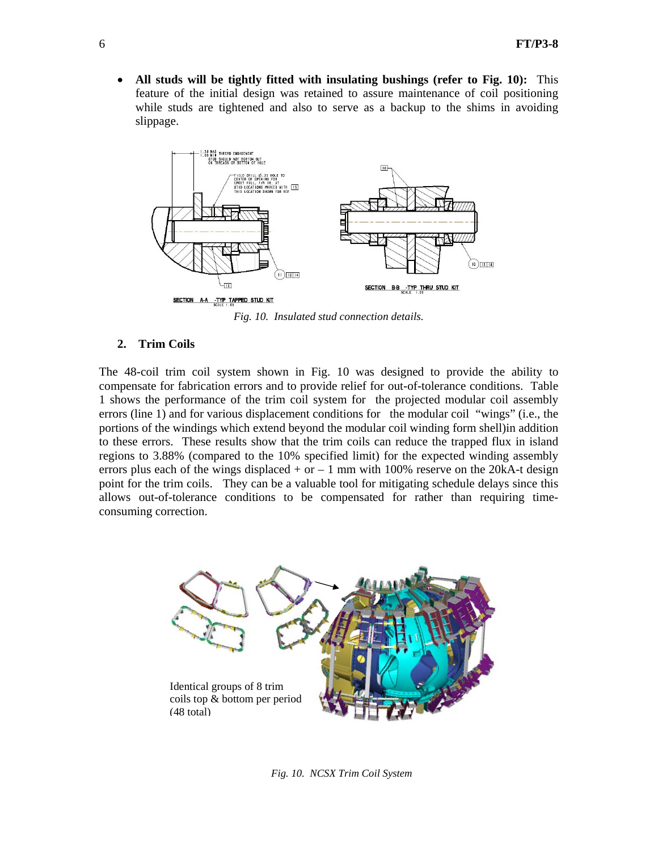• **All studs will be tightly fitted with insulating bushings (refer to Fig. 10):** This feature of the initial design was retained to assure maintenance of coil positioning while studs are tightened and also to serve as a backup to the shims in avoiding slippage.



*Fig. 10. Insulated stud connection details.* 

#### **2. Trim Coils**

The 48-coil trim coil system shown in Fig. 10 was designed to provide the ability to compensate for fabrication errors and to provide relief for out-of-tolerance conditions. Table 1 shows the performance of the trim coil system for the projected modular coil assembly errors (line 1) and for various displacement conditions for the modular coil "wings" (i.e., the portions of the windings which extend beyond the modular coil winding form shell)in addition to these errors. These results show that the trim coils can reduce the trapped flux in island regions to 3.88% (compared to the 10% specified limit) for the expected winding assembly errors plus each of the wings displaced  $+$  or  $-1$  mm with 100% reserve on the 20kA-t design point for the trim coils. They can be a valuable tool for mitigating schedule delays since this allows out-of-tolerance conditions to be compensated for rather than requiring timeconsuming correction.



*Fig. 10. NCSX Trim Coil System*